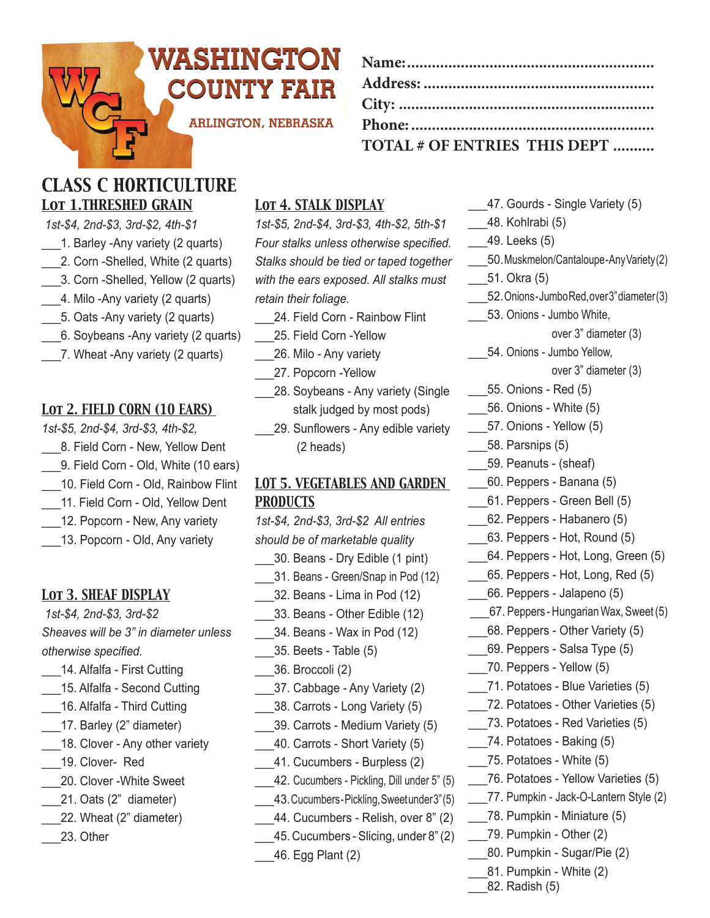

| <b>TOTAL # OF ENTRIES THIS DEPT </b> |
|--------------------------------------|

## *CLASS C HORTICULTURE Lot 1.THRESHED GRAIN*

#### *1st-\$4, 2nd-\$3, 3rd-\$2, 4th-\$1*

- 1. Barley -Any variety (2 quarts)
- \_\_\_2. Corn -Shelled, White (2 quarts)
- \_\_\_3. Corn -Shelled, Yellow (2 quarts)
- 1. Milo -Any variety (2 quarts)
- 5. Oats -Any variety (2 quarts)
- \_\_\_6. Soybeans -Any variety (2 quarts)
- \_\_\_7. Wheat -Any variety (2 quarts)

#### *Lot 2. FIELD CORN (10 EARS)*

- *1st-\$5, 2nd-\$4, 3rd-\$3, 4th-\$2,*
- \_\_\_8. Field Corn New, Yellow Dent
- \_\_\_9. Field Corn Old, White (10 ears)
- 10. Field Corn Old, Rainbow Flint
- \_\_\_11. Field Corn Old, Yellow Dent
- 12. Popcorn New, Any variety
- 13. Popcorn Old, Any variety

## *Lot 3. SHEAF DISPLAY*

 *1st-\$4, 2nd-\$3, 3rd-\$2*

*Sheaves will be 3" in diameter unless otherwise specified.* 

- \_\_\_14. Alfalfa First Cutting
- 15. Alfalfa Second Cutting
- \_\_\_16. Alfalfa Third Cutting
- \_\_\_17. Barley (2" diameter)
- 18. Clover Any other variety
- \_\_\_19. Clover- Red
- \_\_\_20. Clover -White Sweet
- \_\_\_21. Oats (2" diameter)
- \_\_\_22. Wheat (2" diameter)
- \_\_\_23. Other

## *Lot 4. STALK DISPLAY*

*1st-\$5, 2nd-\$4, 3rd-\$3, 4th-\$2, 5th-\$1 Four stalks unless otherwise specified. Stalks should be tied or taped together with the ears exposed. All stalks must retain their foliage.* 

- 24. Field Corn Rainbow Flint
- \_\_\_25. Field Corn -Yellow
- \_\_\_26. Milo Any variety
- \_\_\_27. Popcorn -Yellow
- 28. Soybeans Any variety (Single stalk judged by most pods)
- 29. Sunflowers Any edible variety (2 heads)

## *LOT 5. VEGETABLES AND GARDEN PRODUCTS*

*1st-\$4, 2nd-\$3, 3rd-\$2 All entries should be of marketable quality*

\_\_\_30. Beans - Dry Edible (1 pint)

- 31. Beans Green/Snap in Pod (12)
- \_\_\_32. Beans Lima in Pod (12)
- \_\_\_33. Beans Other Edible (12)
- \_\_\_34. Beans Wax in Pod (12)
- \_\_\_35. Beets Table (5)
- \_\_\_36. Broccoli (2)
- \_37. Cabbage Any Variety (2)
- \_\_\_38. Carrots Long Variety (5)
- \_\_\_39. Carrots Medium Variety (5)
- \_\_\_40. Carrots Short Variety (5)
- \_\_\_41. Cucumbers Burpless (2)
- \_\_\_42. Cucumbers Pickling, Dill under 5" (5)
- \_\_\_43. Cucumbers Pickling, Sweet under 3" (5)
- 44. Cucumbers Relish, over 8" (2)
- \_\_\_45. Cucumbers Slicing, under 8" (2)
- \_\_\_46. Egg Plant (2)
- 47. Gourds Single Variety (5)
- \_\_\_48. Kohlrabi (5)
- \_\_\_49. Leeks (5)
- 50. Muskmelon/Cantaloupe Any Variety (2)
- \_\_\_51. Okra (5)
- \_\_\_52. Onions Jumbo Red, over 3" diameter (3)
- \_\_\_53. Onions Jumbo White,
	- over 3" diameter (3)
- 54. Onions Jumbo Yellow,
	- over 3" diameter (3)
- \_\_\_55. Onions Red (5)
- \_\_\_56. Onions White (5)
- 57. Onions Yellow (5)
	- \_\_\_58. Parsnips (5)
- \_\_\_59. Peanuts (sheaf)
- \_\_\_60. Peppers Banana (5)
- \_\_\_61. Peppers Green Bell (5)
- \_\_\_62. Peppers Habanero (5)
- \_\_\_63. Peppers Hot, Round (5)
- \_\_\_64. Peppers Hot, Long, Green (5)
- \_\_\_65. Peppers Hot, Long, Red (5)
- \_\_\_66. Peppers Jalapeno (5)
- \_\_\_67. Peppers Hungarian Wax, Sweet (5)
- \_\_\_68. Peppers Other Variety (5)
- \_\_\_69. Peppers Salsa Type (5)
- \_\_\_70. Peppers Yellow (5)
- \_\_\_71. Potatoes Blue Varieties (5)
- 72. Potatoes Other Varieties (5)
- 73. Potatoes Red Varieties (5)
- \_\_\_74. Potatoes Baking (5) \_\_\_75. Potatoes - White (5)
- 
- \_\_\_76. Potatoes Yellow Varieties (5)
- \_\_\_77. Pumpkin Jack-O-Lantern Style (2)
- \_\_\_78. Pumpkin Miniature (5)
- \_\_\_79. Pumpkin Other (2)
- \_\_\_80. Pumpkin Sugar/Pie (2)
- \_\_\_81. Pumpkin White (2)
- \_\_\_82. Radish (5)